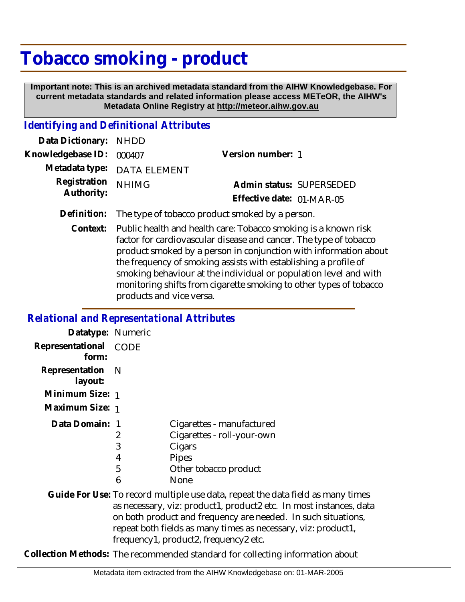## **Tobacco smoking - product**

 **Important note: This is an archived metadata standard from the AIHW Knowledgebase. For current metadata standards and related information please access METeOR, the AIHW's Metadata Online Registry at http://meteor.aihw.gov.au**

## *Identifying and Definitional Attributes*

| Data Dictionary: NHDD            |                             |                           |  |
|----------------------------------|-----------------------------|---------------------------|--|
| Knowledgebase ID: 000407         |                             | Version number: 1         |  |
|                                  | Metadata type: DATA ELEMENT |                           |  |
| Registration NHIMG<br>Authority: |                             | Admin status: SUPERSEDED  |  |
|                                  |                             | Effective date: 01-MAR-05 |  |
|                                  |                             |                           |  |

- **Definition:** The type of tobacco product smoked by a person.
	- Public health and health care: Tobacco smoking is a known risk factor for cardiovascular disease and cancer. The type of tobacco product smoked by a person in conjunction with information about the frequency of smoking assists with establishing a profile of smoking behaviour at the individual or population level and with monitoring shifts from cigarette smoking to other types of tobacco products and vice versa. **Context:**

## *Relational and Representational Attributes*

| Datatype: Numeric           |      |                                                                                 |
|-----------------------------|------|---------------------------------------------------------------------------------|
| Representational<br>form:   | CODE |                                                                                 |
| Representation N<br>layout: |      |                                                                                 |
| Minimum Size: 1             |      |                                                                                 |
| Maximum Size: 1             |      |                                                                                 |
| Data Domain: 1              |      | Cigarettes - manufactured                                                       |
|                             | 2    | Cigarettes - roll-your-own                                                      |
|                             | 3    | Cigars                                                                          |
|                             | 4    | Pipes                                                                           |
|                             | 5    | Other tobacco product                                                           |
|                             | 6    | None                                                                            |
|                             |      | Guide For Use: To record multiple use data, repeat the data field as many times |
|                             |      | as necessary, viz: product1, product2 etc. In most instances, data              |
|                             |      | on both product and frequency are needed. In such situations,                   |
|                             |      | repeat both fields as many times as necessary, viz: product1,                   |
|                             |      | frequency1, product2, frequency2 etc.                                           |

**Collection Methods:** The recommended standard for collecting information about